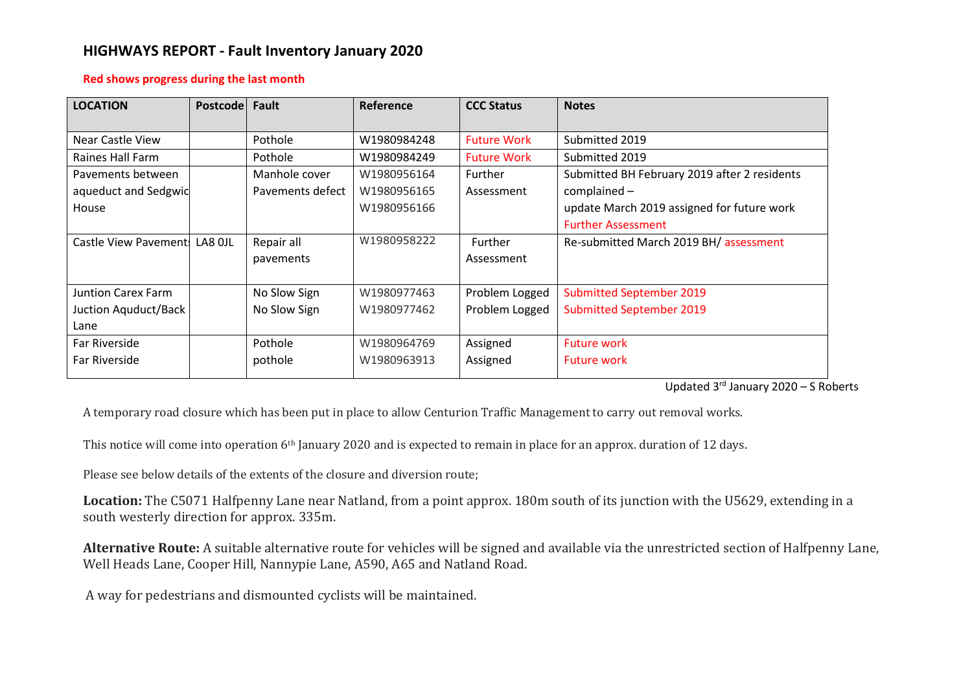# **HIGHWAYS REPORT - Fault Inventory January 2020**

#### **Red shows progress during the last month**

| <b>LOCATION</b>           | <b>Postcode</b> | Fault            | <b>Reference</b> | <b>CCC Status</b>  | <b>Notes</b>                                 |
|---------------------------|-----------------|------------------|------------------|--------------------|----------------------------------------------|
| Near Castle View          |                 | Pothole          | W1980984248      | <b>Future Work</b> | Submitted 2019                               |
| Raines Hall Farm          |                 | Pothole          | W1980984249      | <b>Future Work</b> | Submitted 2019                               |
| Pavements between         |                 | Manhole cover    | W1980956164      | Further            | Submitted BH February 2019 after 2 residents |
| aqueduct and Sedgwid      |                 | Pavements defect | W1980956165      | Assessment         | complained -                                 |
| House                     |                 |                  | W1980956166      |                    | update March 2019 assigned for future work   |
|                           |                 |                  |                  |                    | <b>Further Assessment</b>                    |
| Castle View Pavement!     | LA8 OJL         | Repair all       | W1980958222      | <b>Further</b>     | Re-submitted March 2019 BH/ assessment       |
|                           |                 | pavements        |                  | Assessment         |                                              |
|                           |                 |                  |                  |                    |                                              |
| <b>Juntion Carex Farm</b> |                 | No Slow Sign     | W1980977463      | Problem Logged     | <b>Submitted September 2019</b>              |
| Juction Aquduct/Back      |                 | No Slow Sign     | W1980977462      | Problem Logged     | <b>Submitted September 2019</b>              |
| Lane                      |                 |                  |                  |                    |                                              |
| Far Riverside             |                 | Pothole          | W1980964769      | Assigned           | <b>Future work</b>                           |
| Far Riverside             |                 | pothole          | W1980963913      | Assigned           | <b>Future work</b>                           |
|                           |                 |                  |                  |                    |                                              |

Updated 3 rd January 2020 – S Roberts

A temporary road closure which has been put in place to allow Centurion Traffic Management to carry out removal works.

This notice will come into operation 6th January 2020 and is expected to remain in place for an approx. duration of 12 days.

Please see below details of the extents of the closure and diversion route;

**Location:** The C5071 Halfpenny Lane near Natland, from a point approx. 180m south of its junction with the U5629, extending in a south westerly direction for approx. 335m.

**Alternative Route:** A suitable alternative route for vehicles will be signed and available via the unrestricted section of Halfpenny Lane, Well Heads Lane, Cooper Hill, Nannypie Lane, A590, A65 and Natland Road.

A way for pedestrians and dismounted cyclists will be maintained.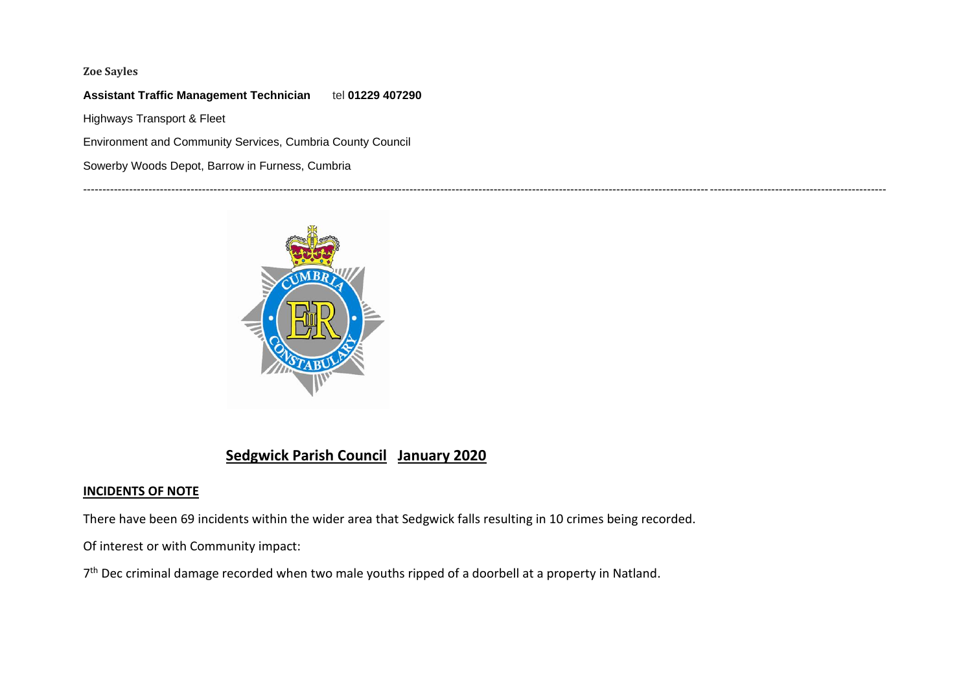### **Zoe Sayles**

### **Assistant Traffic Management Technician** tel **01229 407290**

Highways Transport & Fleet

Environment and Community Services, Cumbria County Council

Sowerby Woods Depot, Barrow in Furness, Cumbria



## **Sedgwick Parish Council January 2020**

#### **INCIDENTS OF NOTE**

There have been 69 incidents within the wider area that Sedgwick falls resulting in 10 crimes being recorded.

-----------------------------------------------------------------------------------------------------------------------------------------------------------------------------------------------------------------

Of interest or with Community impact:

7<sup>th</sup> Dec criminal damage recorded when two male youths ripped of a doorbell at a property in Natland.